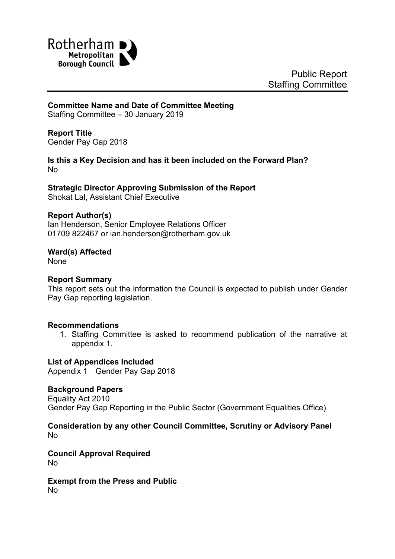

# **Committee Name and Date of Committee Meeting**

Staffing Committee – 30 January 2019

# **Report Title**

Gender Pay Gap 2018

# **Is this a Key Decision and has it been included on the Forward Plan?** No

**Strategic Director Approving Submission of the Report** Shokat Lal, Assistant Chief Executive

# **Report Author(s)**

<span id="page-0-0"></span>Ian Henderson, Senior Employee Relations Officer 01709 822467 or ian.henderson@rotherham.gov.uk

**Ward(s) Affected**

None

#### **Report Summary**

This report sets out the information the Council is expected to publish under Gender Pay Gap reporting legislation.

# **Recommendations**

1. Staffing Committee is asked to recommend publication of the narrative at appendix 1.

# **List of Appendices Included**

Appendix 1 Gender Pay Gap 2018

# **Background Papers**

Equality Act 2010 Gender Pay Gap Reporting in the Public Sector (Government Equalities Office)

#### **Consideration by any other Council Committee, Scrutiny or Advisory Panel** No

**Council Approval Required** No

#### **Exempt from the Press and Public** No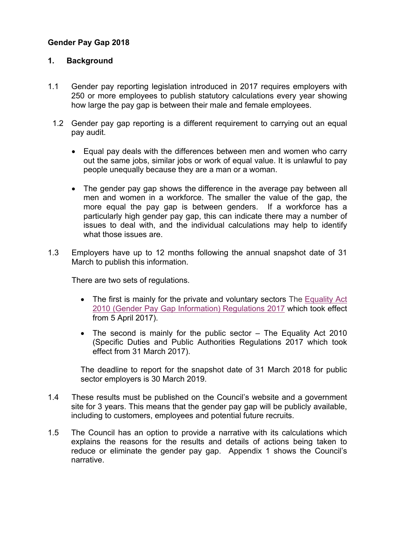# **Gender Pay Gap 2018**

# **1. Background**

- 1.1 Gender pay reporting legislation introduced in 2017 requires employers with 250 or more employees to publish statutory calculations every year showing how large the pay gap is between their male and female employees.
	- 1.2 Gender pay gap reporting is a different requirement to carrying out an equal pay audit.
		- Equal pay deals with the differences between men and women who carry out the same jobs, similar jobs or work of equal value. It is unlawful to pay people unequally because they are a man or a woman.
		- The gender pay gap shows the difference in the average pay between all men and women in a workforce. The smaller the value of the gap, the more equal the pay gap is between genders. If a workforce has a particularly high gender pay gap, this can indicate there may a number of issues to deal with, and the individual calculations may help to identify what those issues are.
- 1.3 Employers have up to 12 months following the annual snapshot date of 31 March to publish this information.

There are two sets of regulations.

- The first is mainly for the private and voluntary sectors The [Equality](http://www.legislation.gov.uk/ukdsi/2017/9780111152010) Act 2010 (Gender Pay Gap [Information\)](http://www.legislation.gov.uk/ukdsi/2017/9780111152010) Regulations 2017 which took effect from 5 April 2017).
- The second is mainly for the public sector The Equality Act 2010 (Specific Duties and Public Authorities Regulations 2017 which took effect from 31 March 2017).

The deadline to report for the snapshot date of 31 March 2018 for public sector employers is 30 March 2019.

- 1.4 These results must be published on the Council's website and a government site for 3 years. This means that the gender pay gap will be publicly available, including to customers, employees and potential future recruits.
- 1.5 The Council has an option to provide a narrative with its calculations which explains the reasons for the results and details of actions being taken to reduce or eliminate the gender pay gap. Appendix 1 shows the Council's narrative.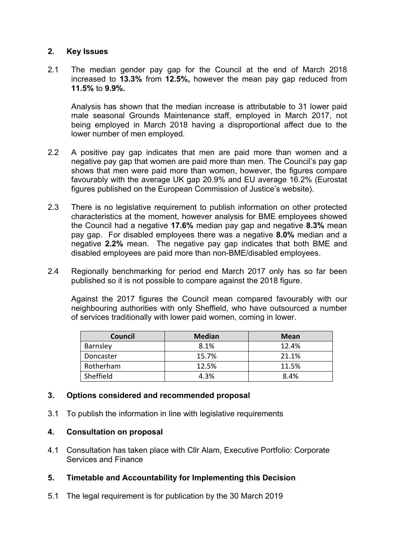# **2. Key Issues**

2.1 The median gender pay gap for the Council at the end of March 2018 increased to **13.3%** from **12.5%,** however the mean pay gap reduced from **11.5%** to **9.9%.**

Analysis has shown that the median increase is attributable to 31 lower paid male seasonal Grounds Maintenance staff, employed in March 2017, not being employed in March 2018 having a disproportional affect due to the lower number of men employed.

- 2.2 A positive pay gap indicates that men are paid more than women and a negative pay gap that women are paid more than men. The Council's pay gap shows that men were paid more than women, however, the figures compare favourably with the average UK gap 20.9% and EU average 16.2% (Eurostat figures published on the European Commission of Justice's website).
- 2.3 There is no legislative requirement to publish information on other protected characteristics at the moment, however analysis for BME employees showed the Council had a negative **17.6%** median pay gap and negative **8.3%** mean pay gap. For disabled employees there was a negative **8.0%** median and a negative **2.2%** mean. The negative pay gap indicates that both BME and disabled employees are paid more than non-BME/disabled employees.
- 2.4 Regionally benchmarking for period end March 2017 only has so far been published so it is not possible to compare against the 2018 figure.

Against the 2017 figures the Council mean compared favourably with our neighbouring authorities with only Sheffield, who have outsourced a number of services traditionally with lower paid women, coming in lower.

| Council   | <b>Median</b> | <b>Mean</b> |
|-----------|---------------|-------------|
| Barnsley  | 8.1%          | 12.4%       |
| Doncaster | 15.7%         | 21.1%       |
| Rotherham | 12.5%         | 11.5%       |
| Sheffield | 4.3%          | 8.4%        |

# **3. Options considered and recommended proposal**

3.1 To publish the information in line with legislative requirements

# **4. Consultation on proposal**

4.1 Consultation has taken place with Cllr Alam, Executive Portfolio: Corporate Services and Finance

# **5. Timetable and Accountability for Implementing this Decision**

5.1 The legal requirement is for publication by the 30 March 2019